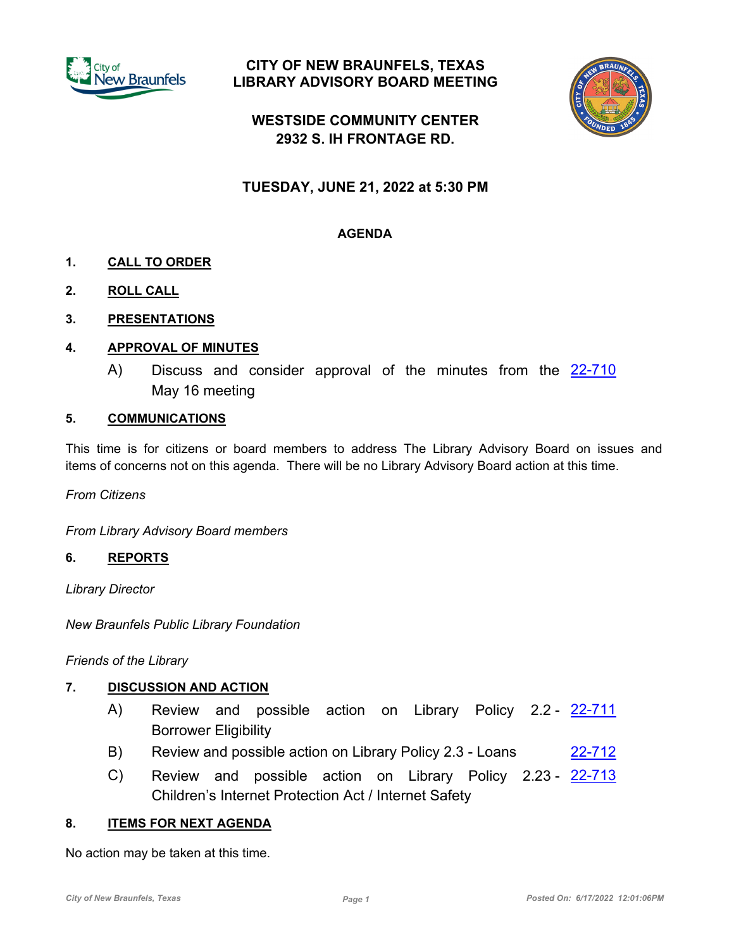

## **CITY OF NEW BRAUNFELS, TEXAS LIBRARY ADVISORY BOARD MEETING**



# **WESTSIDE COMMUNITY CENTER 2932 S. IH FRONTAGE RD.**

# **TUESDAY, JUNE 21, 2022 at 5:30 PM**

## **AGENDA**

- **1. CALL TO ORDER**
- **2. ROLL CALL**
- **3. PRESENTATIONS**

## **4. APPROVAL OF MINUTES**

A) Discuss and consider approval of the minutes from the [22-710](http://newbraunfels.legistar.com/gateway.aspx?m=l&id=/matter.aspx?key=10725) May 16 meeting

### **5. COMMUNICATIONS**

This time is for citizens or board members to address The Library Advisory Board on issues and items of concerns not on this agenda. There will be no Library Advisory Board action at this time.

*From Citizens*

*From Library Advisory Board members*

#### **6. REPORTS**

*Library Director*

*New Braunfels Public Library Foundation*

*Friends of the Library*

#### **7. DISCUSSION AND ACTION**

- A) Review and possible action on Library Policy 2.2 [22-711](http://newbraunfels.legistar.com/gateway.aspx?m=l&id=/matter.aspx?key=10726) Borrower Eligibility
- B) Review and possible action on Library Policy 2.3 Loans [22-712](http://newbraunfels.legistar.com/gateway.aspx?m=l&id=/matter.aspx?key=10727)
- C) Review and possible action on Library Policy 2.23 [22-713](http://newbraunfels.legistar.com/gateway.aspx?m=l&id=/matter.aspx?key=10728) Children's Internet Protection Act / Internet Safety

## **8. ITEMS FOR NEXT AGENDA**

No action may be taken at this time.